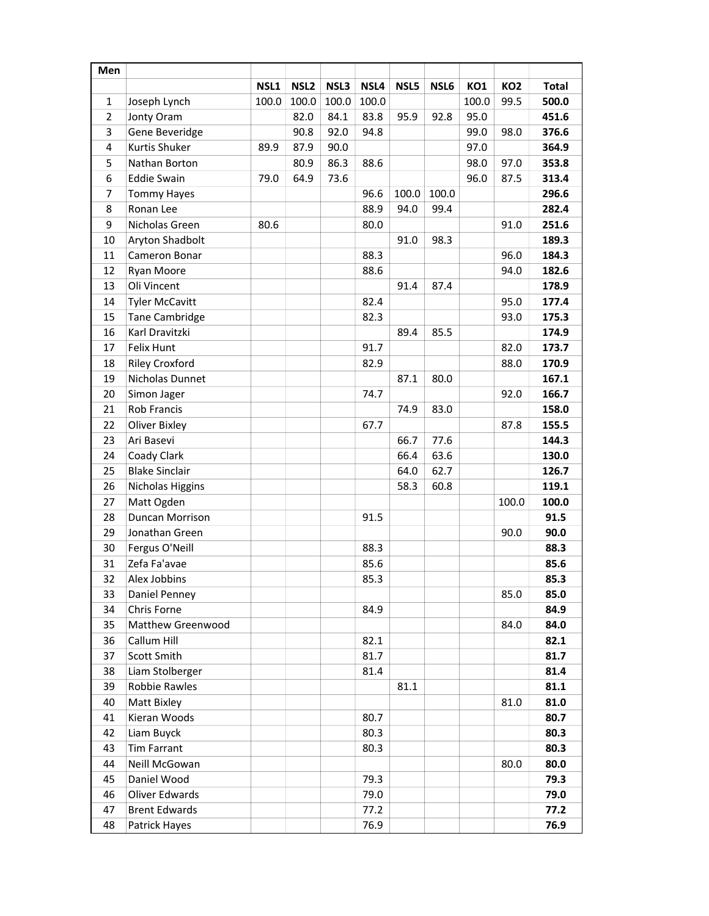| NSL1<br>NSL <sub>2</sub><br>NSL4<br>NSL3<br>NSL5<br>NSL6<br>KO1<br>KO <sub>2</sub><br><b>Total</b><br>100.0<br>100.0<br>100.0<br>100.0<br>100.0<br>99.5<br>500.0<br>$\mathbf{1}$<br>Joseph Lynch<br>$\overline{2}$<br>82.0<br>83.8<br>Jonty Oram<br>84.1<br>95.9<br>92.8<br>95.0<br>451.6<br>3<br>Gene Beveridge<br>90.8<br>92.0<br>94.8<br>99.0<br>98.0<br>376.6<br>Kurtis Shuker<br>4<br>87.9<br>90.0<br>97.0<br>364.9<br>89.9<br>Nathan Borton<br>80.9<br>86.3<br>98.0<br>5<br>88.6<br>97.0<br>353.8<br>6<br><b>Eddie Swain</b><br>64.9<br>96.0<br>79.0<br>73.6<br>87.5<br>313.4<br>296.6<br>$\overline{7}$<br>96.6<br>100.0<br>100.0<br><b>Tommy Hayes</b><br>8<br>Ronan Lee<br>88.9<br>94.0<br>99.4<br>282.4<br>9<br>Nicholas Green<br>80.6<br>80.0<br>91.0<br>251.6 |
|---------------------------------------------------------------------------------------------------------------------------------------------------------------------------------------------------------------------------------------------------------------------------------------------------------------------------------------------------------------------------------------------------------------------------------------------------------------------------------------------------------------------------------------------------------------------------------------------------------------------------------------------------------------------------------------------------------------------------------------------------------------------------|
|                                                                                                                                                                                                                                                                                                                                                                                                                                                                                                                                                                                                                                                                                                                                                                           |
|                                                                                                                                                                                                                                                                                                                                                                                                                                                                                                                                                                                                                                                                                                                                                                           |
|                                                                                                                                                                                                                                                                                                                                                                                                                                                                                                                                                                                                                                                                                                                                                                           |
|                                                                                                                                                                                                                                                                                                                                                                                                                                                                                                                                                                                                                                                                                                                                                                           |
|                                                                                                                                                                                                                                                                                                                                                                                                                                                                                                                                                                                                                                                                                                                                                                           |
|                                                                                                                                                                                                                                                                                                                                                                                                                                                                                                                                                                                                                                                                                                                                                                           |
|                                                                                                                                                                                                                                                                                                                                                                                                                                                                                                                                                                                                                                                                                                                                                                           |
|                                                                                                                                                                                                                                                                                                                                                                                                                                                                                                                                                                                                                                                                                                                                                                           |
|                                                                                                                                                                                                                                                                                                                                                                                                                                                                                                                                                                                                                                                                                                                                                                           |
|                                                                                                                                                                                                                                                                                                                                                                                                                                                                                                                                                                                                                                                                                                                                                                           |
| Aryton Shadbolt<br>98.3<br>10<br>91.0<br>189.3                                                                                                                                                                                                                                                                                                                                                                                                                                                                                                                                                                                                                                                                                                                            |
| 11<br>Cameron Bonar<br>88.3<br>96.0<br>184.3                                                                                                                                                                                                                                                                                                                                                                                                                                                                                                                                                                                                                                                                                                                              |
| 12<br>182.6<br>Ryan Moore<br>88.6<br>94.0                                                                                                                                                                                                                                                                                                                                                                                                                                                                                                                                                                                                                                                                                                                                 |
| Oli Vincent<br>13<br>91.4<br>178.9<br>87.4                                                                                                                                                                                                                                                                                                                                                                                                                                                                                                                                                                                                                                                                                                                                |
| 95.0<br>14<br><b>Tyler McCavitt</b><br>82.4<br>177.4                                                                                                                                                                                                                                                                                                                                                                                                                                                                                                                                                                                                                                                                                                                      |
| 15<br>Tane Cambridge<br>82.3<br>93.0<br>175.3                                                                                                                                                                                                                                                                                                                                                                                                                                                                                                                                                                                                                                                                                                                             |
| 16<br>Karl Dravitzki<br>89.4<br>85.5<br>174.9                                                                                                                                                                                                                                                                                                                                                                                                                                                                                                                                                                                                                                                                                                                             |
| 91.7<br>82.0<br>17<br>Felix Hunt<br>173.7                                                                                                                                                                                                                                                                                                                                                                                                                                                                                                                                                                                                                                                                                                                                 |
| <b>Riley Croxford</b><br>18<br>82.9<br>88.0<br>170.9                                                                                                                                                                                                                                                                                                                                                                                                                                                                                                                                                                                                                                                                                                                      |
| 19<br>Nicholas Dunnet<br>167.1<br>87.1<br>80.0                                                                                                                                                                                                                                                                                                                                                                                                                                                                                                                                                                                                                                                                                                                            |
| 74.7<br>166.7<br>20<br>Simon Jager<br>92.0                                                                                                                                                                                                                                                                                                                                                                                                                                                                                                                                                                                                                                                                                                                                |
| <b>Rob Francis</b><br>21<br>74.9<br>83.0<br>158.0                                                                                                                                                                                                                                                                                                                                                                                                                                                                                                                                                                                                                                                                                                                         |
| 22<br><b>Oliver Bixley</b><br>67.7<br>87.8<br>155.5                                                                                                                                                                                                                                                                                                                                                                                                                                                                                                                                                                                                                                                                                                                       |
| Ari Basevi<br>23<br>66.7<br>77.6<br>144.3                                                                                                                                                                                                                                                                                                                                                                                                                                                                                                                                                                                                                                                                                                                                 |
| 24<br>Coady Clark<br>66.4<br>63.6<br>130.0                                                                                                                                                                                                                                                                                                                                                                                                                                                                                                                                                                                                                                                                                                                                |
| 25<br><b>Blake Sinclair</b><br>64.0<br>62.7<br>126.7                                                                                                                                                                                                                                                                                                                                                                                                                                                                                                                                                                                                                                                                                                                      |
| 26<br>Nicholas Higgins<br>58.3<br>60.8<br>119.1                                                                                                                                                                                                                                                                                                                                                                                                                                                                                                                                                                                                                                                                                                                           |
| 27<br>Matt Ogden<br>100.0<br>100.0                                                                                                                                                                                                                                                                                                                                                                                                                                                                                                                                                                                                                                                                                                                                        |
| Duncan Morrison<br>28<br>91.5<br>91.5                                                                                                                                                                                                                                                                                                                                                                                                                                                                                                                                                                                                                                                                                                                                     |
| 29<br>Jonathan Green<br>90.0<br>90.0                                                                                                                                                                                                                                                                                                                                                                                                                                                                                                                                                                                                                                                                                                                                      |
| 30<br>Fergus O'Neill<br>88.3<br>88.3                                                                                                                                                                                                                                                                                                                                                                                                                                                                                                                                                                                                                                                                                                                                      |
| Zefa Fa'avae<br>31<br>85.6<br>85.6                                                                                                                                                                                                                                                                                                                                                                                                                                                                                                                                                                                                                                                                                                                                        |
| 32<br>85.3<br>85.3<br>Alex Jobbins                                                                                                                                                                                                                                                                                                                                                                                                                                                                                                                                                                                                                                                                                                                                        |
| 85.0<br>85.0<br>33<br>Daniel Penney                                                                                                                                                                                                                                                                                                                                                                                                                                                                                                                                                                                                                                                                                                                                       |
| 34<br>Chris Forne<br>84.9<br>84.9                                                                                                                                                                                                                                                                                                                                                                                                                                                                                                                                                                                                                                                                                                                                         |
| 35<br>Matthew Greenwood<br>84.0<br>84.0                                                                                                                                                                                                                                                                                                                                                                                                                                                                                                                                                                                                                                                                                                                                   |
| Callum Hill<br>36<br>82.1<br>82.1                                                                                                                                                                                                                                                                                                                                                                                                                                                                                                                                                                                                                                                                                                                                         |
| Scott Smith<br>81.7<br>37<br>81.7                                                                                                                                                                                                                                                                                                                                                                                                                                                                                                                                                                                                                                                                                                                                         |
| Liam Stolberger<br>81.4<br>38<br>81.4                                                                                                                                                                                                                                                                                                                                                                                                                                                                                                                                                                                                                                                                                                                                     |
| Robbie Rawles<br>81.1<br>39<br>81.1                                                                                                                                                                                                                                                                                                                                                                                                                                                                                                                                                                                                                                                                                                                                       |
| 40<br>Matt Bixley<br>81.0<br>81.0                                                                                                                                                                                                                                                                                                                                                                                                                                                                                                                                                                                                                                                                                                                                         |
| 80.7<br>41<br>Kieran Woods<br>80.7                                                                                                                                                                                                                                                                                                                                                                                                                                                                                                                                                                                                                                                                                                                                        |
| Liam Buyck<br>80.3<br>42<br>80.3                                                                                                                                                                                                                                                                                                                                                                                                                                                                                                                                                                                                                                                                                                                                          |
| <b>Tim Farrant</b><br>43<br>80.3<br>80.3                                                                                                                                                                                                                                                                                                                                                                                                                                                                                                                                                                                                                                                                                                                                  |
| 44<br>Neill McGowan<br>80.0<br>80.0                                                                                                                                                                                                                                                                                                                                                                                                                                                                                                                                                                                                                                                                                                                                       |
| 45<br>Daniel Wood<br>79.3<br>79.3                                                                                                                                                                                                                                                                                                                                                                                                                                                                                                                                                                                                                                                                                                                                         |
| 46<br>Oliver Edwards<br>79.0<br>79.0                                                                                                                                                                                                                                                                                                                                                                                                                                                                                                                                                                                                                                                                                                                                      |
| <b>Brent Edwards</b><br>47<br>77.2<br>77.2                                                                                                                                                                                                                                                                                                                                                                                                                                                                                                                                                                                                                                                                                                                                |
| 48<br>Patrick Hayes<br>76.9<br>76.9                                                                                                                                                                                                                                                                                                                                                                                                                                                                                                                                                                                                                                                                                                                                       |